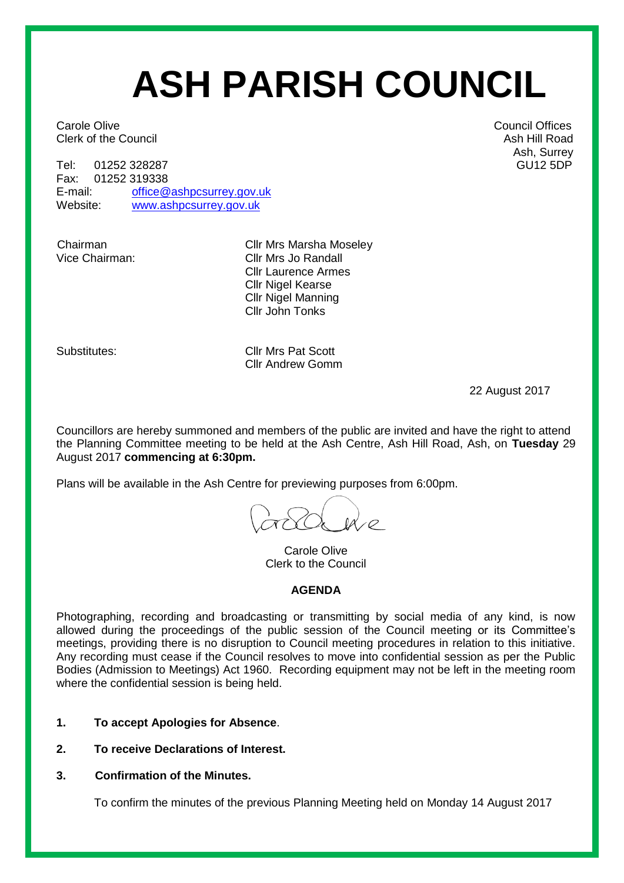# **ASH PARISH COUNCIL**

**Carole Olive Carole Offices** Carole Offices **Council Offices Clerk of the Council Ash Hill Road** Ash Hill Road Ash Hill Road Ash Hill Road Ash Hill Road Ash Hill Road Ash Hill Road Ash Hill Road Ash Hill Road Ash Hill Road Ash Hill Road Ash Hill Road Ash Hill Road Ash Hill Road Ash

Tel: 01252 328287 GU12 5DP<br>Fax: 01252 319338 GU12 5DP 01252 319338 E-mail: [office@ashpcsurrey.gov.uk](mailto:office@ashpcsurrey.gov.uk) Website: [www.ashpcsurrey.gov.uk](http://www.ashpcsurrey.gov.uk/)

Chairman Cllr Mrs Marsha Moseley<br>Vice Chairman: Cllr Mrs Jo Randall Cllr Mrs Jo Randall Cllr Laurence Armes Cllr Nigel Kearse Cllr Nigel Manning Cllr John Tonks

Substitutes: Cllr Mrs Pat Scott Cllr Andrew Gomm

22 August 2017

Councillors are hereby summoned and members of the public are invited and have the right to attend the Planning Committee meeting to be held at the Ash Centre, Ash Hill Road, Ash, on **Tuesday** 29 August 2017 **commencing at 6:30pm.** 

Plans will be available in the Ash Centre for previewing purposes from 6:00pm.

Carole Olive Clerk to the Council

#### **AGENDA**

Photographing, recording and broadcasting or transmitting by social media of any kind, is now allowed during the proceedings of the public session of the Council meeting or its Committee's meetings, providing there is no disruption to Council meeting procedures in relation to this initiative. Any recording must cease if the Council resolves to move into confidential session as per the Public Bodies (Admission to Meetings) Act 1960. Recording equipment may not be left in the meeting room where the confidential session is being held.

- **1. To accept Apologies for Absence**.
- **2. To receive Declarations of Interest.**
- **3. Confirmation of the Minutes.**

To confirm the minutes of the previous Planning Meeting held on Monday 14 August 2017

Ash, Surrey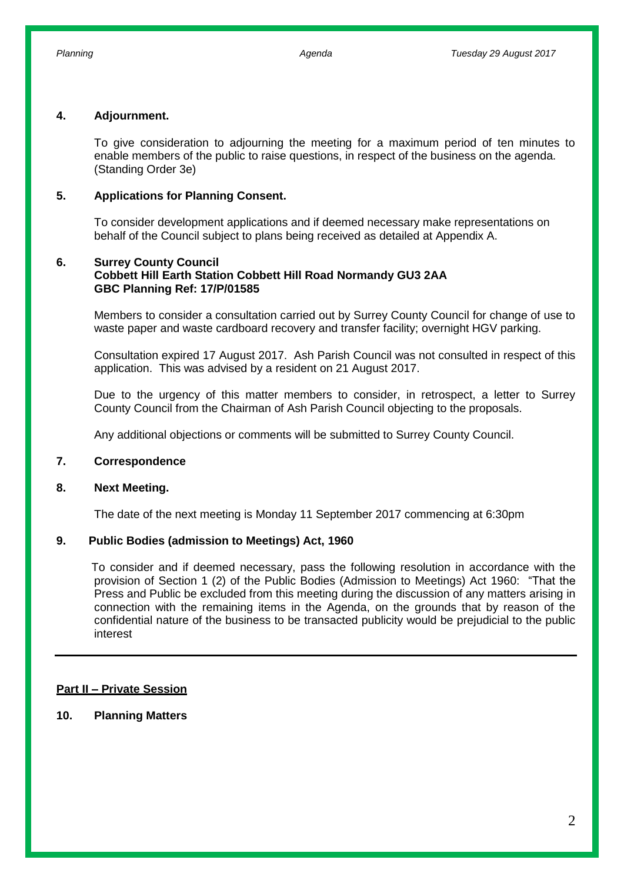#### **4. Adjournment.**

To give consideration to adjourning the meeting for a maximum period of ten minutes to enable members of the public to raise questions, in respect of the business on the agenda. (Standing Order 3e)

#### **5. Applications for Planning Consent.**

To consider development applications and if deemed necessary make representations on behalf of the Council subject to plans being received as detailed at Appendix A.

#### **6. Surrey County Council Cobbett Hill Earth Station Cobbett Hill Road Normandy GU3 2AA GBC Planning Ref: 17/P/01585**

Members to consider a consultation carried out by Surrey County Council for change of use to waste paper and waste cardboard recovery and transfer facility; overnight HGV parking.

Consultation expired 17 August 2017. Ash Parish Council was not consulted in respect of this application. This was advised by a resident on 21 August 2017.

Due to the urgency of this matter members to consider, in retrospect, a letter to Surrey County Council from the Chairman of Ash Parish Council objecting to the proposals.

Any additional objections or comments will be submitted to Surrey County Council.

#### **7. Correspondence**

#### **8. Next Meeting.**

The date of the next meeting is Monday 11 September 2017 commencing at 6:30pm

#### **9. Public Bodies (admission to Meetings) Act, 1960**

 To consider and if deemed necessary, pass the following resolution in accordance with the provision of Section 1 (2) of the Public Bodies (Admission to Meetings) Act 1960: "That the Press and Public be excluded from this meeting during the discussion of any matters arising in connection with the remaining items in the Agenda, on the grounds that by reason of the confidential nature of the business to be transacted publicity would be prejudicial to the public interest

#### **Part II – Private Session**

**10. Planning Matters**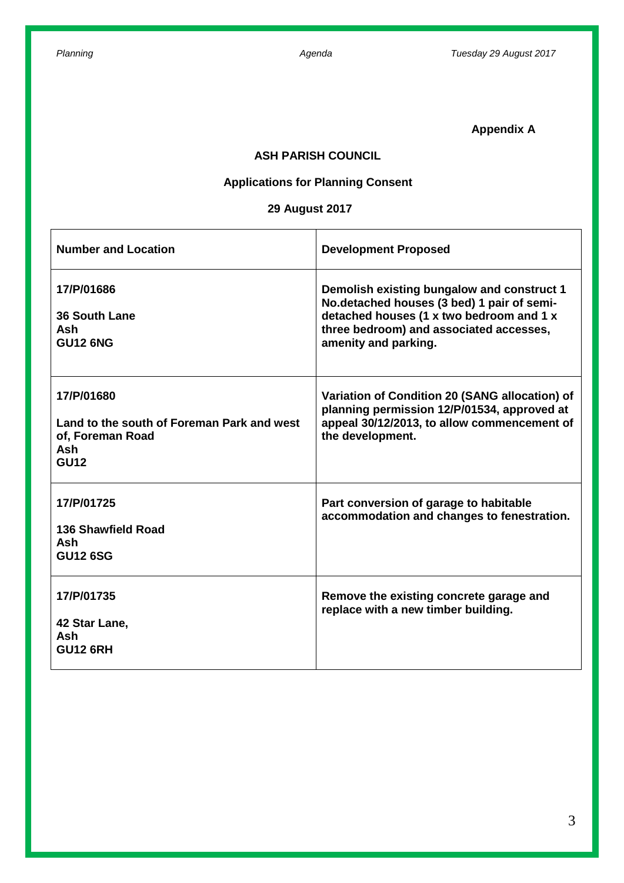**Appendix A**

#### **ASH PARISH COUNCIL**

## **Applications for Planning Consent**

## **29 August 2017**

| <b>Number and Location</b>                                                                                | <b>Development Proposed</b>                                                                                                                                                                             |
|-----------------------------------------------------------------------------------------------------------|---------------------------------------------------------------------------------------------------------------------------------------------------------------------------------------------------------|
| 17/P/01686<br><b>36 South Lane</b><br><b>Ash</b><br><b>GU12 6NG</b>                                       | Demolish existing bungalow and construct 1<br>No.detached houses (3 bed) 1 pair of semi-<br>detached houses (1 x two bedroom and 1 x<br>three bedroom) and associated accesses,<br>amenity and parking. |
| 17/P/01680<br>Land to the south of Foreman Park and west<br>of, Foreman Road<br><b>Ash</b><br><b>GU12</b> | Variation of Condition 20 (SANG allocation) of<br>planning permission 12/P/01534, approved at<br>appeal 30/12/2013, to allow commencement of<br>the development.                                        |
| 17/P/01725<br>136 Shawfield Road<br><b>Ash</b><br><b>GU12 6SG</b>                                         | Part conversion of garage to habitable<br>accommodation and changes to fenestration.                                                                                                                    |
| 17/P/01735<br>42 Star Lane,<br>Ash<br><b>GU12 6RH</b>                                                     | Remove the existing concrete garage and<br>replace with a new timber building.                                                                                                                          |